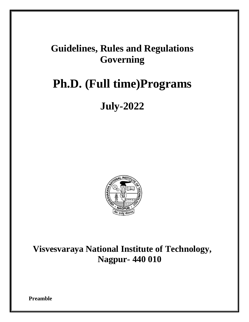## **Guidelines, Rules and Regulations Governing**

# **Ph.D. (Full time)Programs**

## **July-2022**



**Visvesvaraya National Institute of Technology, Nagpur- 440 010**

**Preamble**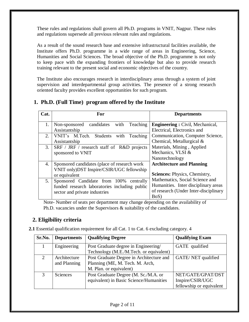These rules and regulations shall govern all Ph.D. programs in VNIT, Nagpur. These rules and regulations supersede all previous relevant rules and regulations.

As a result of the sound research base and extensive infrastructural facilities available, the Institute offers Ph.D. programme in a wide range of areas in Engineering, Science, Humanities and Social Sciences. The broad objective of the Ph.D. programme is not only to keep pace with the expanding frontiers of knowledge but also to provide research training relevant to the present social and economic objectives of the country.

The Institute also encourages research in interdisciplinary areas through a system of joint supervision and interdepartmental group activities. The presence of a strong research oriented faculty provides excellent opportunities for such program.

## **1. Ph.D. (Full Time) program offered by the Institute**

| Cat.           | For                                             | <b>Departments</b>                     |  |
|----------------|-------------------------------------------------|----------------------------------------|--|
| 1.             | candidates<br>with<br>Teaching<br>Non-sponsored | <b>Engineering: Civil, Mechanical,</b> |  |
|                | Assistantship                                   | Electrical, Electronics and            |  |
| 2.             | VNIT's M.Tech. Students with Teaching           | Communication, Computer Science,       |  |
|                | Assistantship                                   | Chemical, Metallurgical &              |  |
| 3.             | SRF / JRF / research staff of R&D projects      | Materials, Mining, Applied             |  |
|                | sponsored to VNIT                               | Mechanics, VLSI &                      |  |
|                |                                                 | Nanotechnology                         |  |
| 4.             | Sponsored candidates (place of research work    | <b>Architecture and Planning</b>       |  |
|                | VNIT only)DST Inspire/CSIR/UGC fellowship       |                                        |  |
|                | or equivalent                                   | <b>Sciences: Physics, Chemistry,</b>   |  |
| 5 <sub>1</sub> | Sponsored Candidate from 100%<br>centrally      | Mathematics, Social Science and        |  |
|                | funded research laboratories including public   | Humanities. Inter disciplinary areas   |  |
|                | sector and private industries                   | of research (Under Inter-disciplinary  |  |
|                |                                                 | $BoS$ )                                |  |

 Note- Number of seats per department may change depending on the availability of Ph.D. vacancies under the Supervisors & suitability of the candidates.

## **2. Eligibility criteria**

**2.1** Essential qualification requirement for all Cat. 1 to Cat. 6 excluding category. 4

| Sr.No.                      | <b>Departments</b> | <b>Qualifying Degree</b>                 | <b>Qualifying Exam</b>   |  |
|-----------------------------|--------------------|------------------------------------------|--------------------------|--|
|                             | Engineering        | Post Graduate degree in Engineering/     | GATE qualified           |  |
|                             |                    | Technology (M.E./M.Tech. or equivalent)  |                          |  |
| $\mathcal{D}_{\mathcal{L}}$ | Architecture       | Post Graduate Degree in Architecture and | GATE/NET qualified       |  |
|                             | and Planning       | Planning (ME, M. Tech. M. Arch,          |                          |  |
|                             |                    | M. Plan. or equivalent)                  |                          |  |
| $\mathcal{R}$               | <b>Sciences</b>    | Post Graduate Degree (M. Sc./M.A. or     | NET/GATE/GPAT/DST        |  |
|                             |                    | equivalent) in Basic Science/Humanities  | Inspire/CSIR/UGC         |  |
|                             |                    |                                          | fellowship or equivalent |  |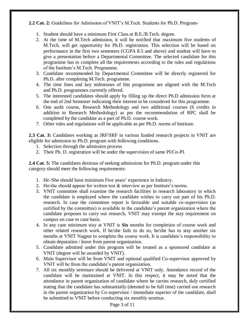## **2.2 Cat. 2:** Guidelines for Admission of VNIT's M.Tech. Students for Ph.D. Program-

- 1. Student should have a minimum First Class at B.E./B.Tech. degree.
- 2. At the time of M.Tech admission, it will be notified that maximum five students of M.Tech. will get opportunity for Ph.D. registration. This selection will be based on performance in the first two semesters (CGPA 8.5 and above) and student will have to give a presentation before a Departmental Committee. The selected candidate for this programme has to complete all the requirements according to the rules and regulations of the Institute's M.Tech. Programme.
- 3. Candidate recommended by Departmental Committee will be directly registered for Ph.D. after completing M.Tech. programme.
- 4. The time lines and key milestones of this programme are aligned with the M.Tech and Ph.D. programmes currently offered.
- 5. The interested candidates should apply by filling up the direct Ph.D admission form at the end of 2nd Semester indicating their interest to be considered for this programme.
- 6. One audit course, Research Methodology and two additional courses (6 credits in addition to Research Methodology) as per the recommendation of RPC shall be completed by the candidate as a part of Ph.D. course work.
- 7. Other rules and regulations will be applicable as per Ph.D. norms of Institute.

**2.3 Cat. 3:** Candidates working as JRF/SRF in various funded research projects in VNIT are eligible for admission to Ph.D. program with following conditions.

- 1. Selection through the admission process
- 2. Their Ph. D. registration will be under the supervision of same PI/Co-PI.

**2.4 Cat. 5:** The candidates desirous of seeking admissions for Ph.D. program under this category should meet the following requirements:

- 1. He /She should have minimum Five years' experience in Industry.
- 2. He/she should appear for written test & interview as per Institute's norms.
- 3. VNIT committee shall examine the research facilities in research laboratory in which the candidate is employed where the candidate wishes to carry out part of his Ph.D. research. In case the committee report is favorable and suitable co-supervision (as certified by the committee) is available in the candidate's parent organization where the candidate proposes to carry out research, VNIT may exempt the stay requirement on campus on case to case basis.
- 4. In any case minimum stay at VNIT is **Six** months for completion of course work and other related research work. If he/she fails to do so, he/she has to stay another six months at VNIT Nagpur to complete the course work. It is candidate's responsibility to obtain deputation / leave from parent organization.
- 5. Candidate admitted under this program will be treated as a sponsored candidate at VNIT (degree will be awarded by VNIT).
- 6. Main Supervisor will be from VNIT and optional qualified Co-supervisor approved by VNIT will be from the candidate's parent organization.
- 7. All six monthly seminars should be delivered at VNIT only. Attendance record of the candidate will be maintained at VNIT. In this respect, it may be noted that the attendance in parent organization of candidate where he carries research, duly certified stating that the candidate has substantially (deemed to be full time) carried out research in the parent organization by Co-supervisor / immediate superior of the candidate, shall be submitted to VNIT before conducting six monthly seminar.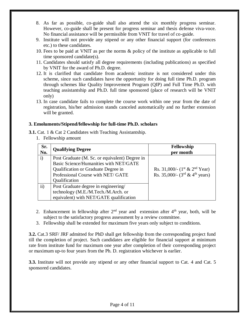- 8. As far as possible, co-guide shall also attend the six monthly progress seminar. However, co-guide shall be present for progress seminar and thesis defense viva-voce. No financial assistance will be permissible from VNIT for travel of co-guide.
- 9. Institute will not provide any stipend or any other financial support (for conferences etc.) to these candidates.
- 10. Fees to be paid at VNIT as per the norms & policy of the institute as applicable to full time sponsored candidate(s).
- 11. Candidates should satisfy all degree requirements (including publications) as specified by VNIT for the award of Ph.D. degree.
- 12. It is clarified that candidate from academic institute is not considered under this scheme, since such candidates have the opportunity for doing full time Ph.D. program through schemes like Quality Improvement Program (QIP) and Full Time Ph.D. with teaching assistantship and Ph.D. full time sponsored (place of research will be VNIT only)
- 13. In case candidate fails to complete the course work within one year from the date of registration, his/her admission stands canceled automatically and no further extension will be granted.

#### **3. Emoluments/Stipend/fellowship for full-time Ph.D. scholars**

- **3.1.** Cat. 1 & Cat 2 Candidates with Teaching Assistantship.
	- 1. Fellowship amount

| Sr.<br>No.   | <b>Qualifying Degree</b>                       | Fellowship<br>per month                                       |
|--------------|------------------------------------------------|---------------------------------------------------------------|
| $\mathbf{i}$ | Post Graduate (M. Sc. or equivalent) Degree in |                                                               |
|              | Basic Science/Humanities with NET/GATE         |                                                               |
|              | Qualification or Graduate Degree in            | Rs. 31,000/- $(1st & 2nd$ Year)                               |
|              | Professional Course with NET/ GATE             | Rs. 35,000/- $(3^{\text{rd}} \& 4^{\text{th}} \text{ years})$ |
|              | Qualification                                  |                                                               |
| ii)          | Post Graduate degree in engineering/           |                                                               |
|              | technology (M.E./M.Tech./M.Arch. or            |                                                               |
|              | equivalent) with NET/GATE qualification        |                                                               |

- 2. Enhancement in fellowship after  $2<sup>nd</sup>$  year and extension after  $4<sup>th</sup>$  year, both, will be subject to the satisfactory progress assessment by a review committee.
- 3. Fellowship shall be extended for maximum five years only subject to conditions.

**3.2.** Cat.3 SRF/ JRF admitted for PhD shall get fellowship from the corresponding project fund till the completion of project. Such candidates are eligible for financial support at minimum rate from institute fund for maximum one year after completion of their corresponding project or maximum up-to four years from the Ph. D. registration whichever is earlier.

**3.3.** Institute will not provide any stipend or any other financial support to Cat. 4 and Cat. 5 sponsored candidates.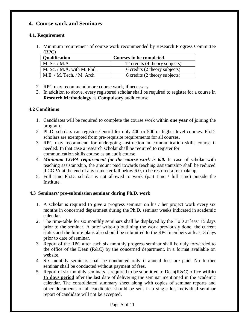## **4. Course work and Seminars**

## **4.1. Requirement**

1. Minimum requirement of course work recommended by Research Progress Committee (RPC)

| <b>Qualification</b>         | Courses to be completed        |
|------------------------------|--------------------------------|
| $M.$ Sc. $/M.A.$             | 12 credits (4 theory subjects) |
| M. Sc. $/M.A.$ with M. Phil. | 6 credits (2 theory subjects)  |
| M.E. / M. Tech. / M. Arch.   | 6 credits (2 theory subjects)  |

- 2. RPC may recommend more course work, if necessary.
- 3. In addition to above, every registered scholar shall be required to register for a course in **Research Methodology** as **Compulsory** audit course.

## **4.2 Conditions**

- 1. Candidates will be required to complete the course work within **one year** of joining the program.
- 2. Ph.D. scholars can register / enroll for only 400 or 500 or higher level courses. Ph.D. scholars are exempted from pre-requisite requirements for all courses.
- 3. RPC may recommend for undergoing instruction in communication skills course if needed. In that case a research scholar shall be required to register for communication skills course as an audit course.
- 4. *Minimum CGPA requirement for the course work is 6.0.* In case of scholar with teaching assistantship, the amount paid towards teaching assistantship shall be reduced if CGPA at the end of any semester fall below 6.0, to be restored after makeup.
- 5. Full time Ph.D. scholar is not allowed to work (part time / full time) outside the Institute.

#### **4.3 Seminars/ pre-submission seminar during Ph.D. work**

- 1. A scholar is required to give a progress seminar on his / her project work every six months in concerned department during the Ph.D. seminar weeks indicated in academic calendar.
- 2. The time-table for six monthly seminars shall be displayed by the HoD at least 15 days prior to the seminar. A brief write-up outlining the work previously done, the current status and the future plans also should be submitted to the RPC members at least 3 days prior to date of seminar.
- 3. Report of the RPC after each six monthly progress seminar shall be duly forwarded to the office of the Dean  $(R\&C)$  by the concerned department, in a format available on website.
- 4. Six monthly seminars shall be conducted only if annual fees are paid. No further seminar shall be conducted without payment of fees.
- 5. Report of six monthly seminars is required to be submitted to Dean(R&C) office **within 15 days period** after the last date of delivering the seminar mentioned in the academic calendar. The consolidated summary sheet along with copies of seminar reports and other documents of all candidates should be sent in a single lot. Individual seminar report of candidate will not be accepted.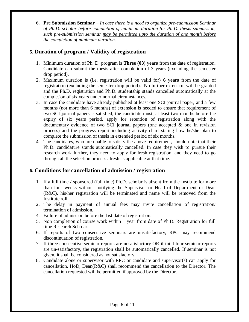6. **Pre Submission Seminar** – *In case there is a need to organize pre-submission Seminar of Ph.D. scholar before completion of minimum duration for Ph.D. thesis submission, such pre-submission seminar may be permitted upto the duration of one month before the completion of minimum duration.*

## **5. Duration of program / Validity of registration**

- 1. Minimum duration of Ph. D. program is **Three (03) years** from the date of registration. Candidate can submit the thesis after completion of 3 years (excluding the semester drop period).
- 2. Maximum duration is (i.e. registration will be valid for) **6 years** from the date of registration (excluding the semester drop period). No further extension will be granted and the Ph.D. registration and Ph.D. studentship stands cancelled automatically at the completion of six years under normal circumstances.
- 3. In case the candidate have already published at least one SCI journal paper, and a few months (not more than 6 months) of extension is needed to ensure that requirement of two SCI journal papers is satisfied, the candidate must, at least two months before the expiry of six years period, apply for retention of registration along with the documentary evidence of two SCI journal papers (one accepted & one in revision process) and the progress report including activity chart stating how he/she plan to complete the submission of thesis in extended period of six months.
- 4. The candidates, who are unable to satisfy the above requirement, should note that their Ph.D. candidature stands automatically cancelled. In case they wish to pursue their research work further, they need to apply for fresh registration, and they need to go through all the selection process afresh as applicable at that time.

## **6. Conditions for cancellation of admission / registration**

- 1. If a full time / sponsored (full time) Ph.D. scholar is absent from the Institute for more than four weeks without notifying the Supervisor or Head of Department or Dean (R&C), his/her registration will be terminated and name will be removed from the Institute roll.
- 2. The delay in payment of annual fees may invite cancellation of registration/ termination of admission.
- 4. Failure of admission before the last date of registration.
- 5. Non completion of course work within 1 year from date of Ph.D. Registration for full time Research Scholar.
- 6. If reports of two consecutive seminars are unsatisfactory, RPC may recommend discontinuation of registration.
- 7. If three consecutive seminar reports are unsatisfactory OR if total four seminar reports are un-satisfactory, the registration shall be automatically cancelled. If seminar is not given, it shall be considered as not satisfactory.
- 8. Candidate alone or supervisor with RPC or candidate and supervisor(s) can apply for cancellation. HoD, Dean(R&C) shall recommend the cancellation to the Director. The cancellation requested will be permitted if approved by the Director.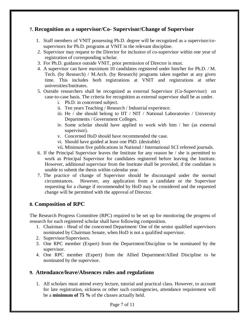## **7. Recognition as a supervisor/Co- Supervisor/Change of Supervisor**

- 1. Staff members of VNIT possessing Ph.D. degree will be recognized as a supervisor/cosupervisors for Ph.D. programs at VNIT in the relevant discipline.
- 2. Supervisor may request to the Director for inclusion of co-supervisor within one year of registration of corresponding scholar.
- 3. For Ph.D. guidance outside VNIT, prior permission of Director is must.
- 4. A supervisor can have maximum 10 candidates registered under him/her for Ph.D. / M. Tech. (by Research) / M.Arch. (by Research) programs taken together at any given time. This includes both registrations at VNIT and registrations at other universities/Institutes.
- 5. Outside researchers shall be recognized as external Supervisor (Co-Supervisor) on case-to-case basis. The criteria for recognition as external supervisor shall be as under.
	- i. Ph.D. in concerned subject.
	- ii. Ten years Teaching / Research / Industrial experience.
	- iii. He / she should belong to IIT / NIT / National Laboratories / University Departments / Government Colleges.
	- iv. Some scholar should have applied to work with him / her (as external supervisor).
	- v. Concerned HoD should have recommended the case.
	- vi. Should have guided at least one PhD. (desirable)
	- vii. Minimum five publications in National / International SCI refereed journals.
- 6. If the Principal Supervisor leaves the Institute for any reason he / she is permitted to work as Principal Supervisor for candidates registered before leaving the Institute. However, additional supervisor from the Institute shall be provided, if the candidate is unable to submit the thesis within calendar year.
- 7. The practice of change of Supervisor should be discouraged under the normal circumstances. However, any application from a candidate or the Supervisor requesting for a change if recommended by HoD may be considered and the requested change will be permitted with the approval of Director.

## **8. Composition of RPC**

The Research Progress Committee (RPC) required to be set up for monitoring the progress of research for each registered scholar shall have following composition.

- 1. Chairman Head of the concerned Department/ One of the senior qualified supervisors nominated by Chairman Senate, when HoD is not a qualified supervisor.
- 2. Supervisor/Supervisors.
- 3. One RPC member (Expert) from the Department/Discipline to be nominated by the supervisor.
- 4. One RPC member (Expert) from the Allied Department/Allied Discipline to be nominated by the supervisor.

## **9. Attendance/leave/Absences rules and regulations**

1. All scholars must attend every lecture, tutorial and practical class. However, to account for late registration, sickness or other such contingencies, attendance requirement will be a **minimum of 75 %** of the classes actually held.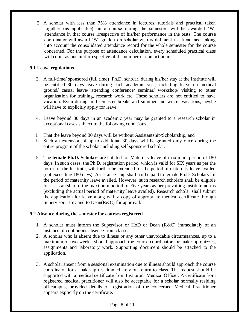2. A scholar with less than 75% attendance in lectures, tutorials and practical taken together (as applicable), in a course during the semester, will be awarded 'W' attendance in that course irrespective of his/her performance in the tests. The course coordinator will award 'W' grade to a scholar who is deficient in attendance, taking into account the consolidated attendance record for the whole semester for the course concerned. For the purpose of attendance calculation, every scheduled practical class will count as one unit irrespective of the number of contact hours.

## **9.1 Leave regulations**

- 3. A full-time/ sponsored (full time) Ph.D. scholar, during his/her stay at the Institute will be entitled 30 days leave during each academic year, including leave on medical ground/ casual leave/ attending conference/ seminar/ workshop/ visiting to other organization for training, research work etc. These scholars are not entitled to have vacation. Even during mid-semester breaks and summer and winter vacations, he/she will have to explicitly apply for leave.
- 4. Leave beyond 30 days in an academic year may be granted to a research scholar in exceptional cases subject to the following conditions
- i. That the leave beyond 30 days will be without Assistantship/Scholarship, and
- ii. Such an extension of up to additional 30 days will be granted only once during the entire program of the scholar including self sponsored scholar.
- 5. The **female Ph.D. Scholars** are entitled for Maternity leave of maximum period of 180 days. In such cases, the Ph.D. registration period, which is valid for SIX years as per the norms of the Institute, will further be extended for the period of maternity leave availed (not exceeding 180 days). Assistance-ship shall not be paid to female Ph.D. Scholars for the period of maternity leave availed. However, such research scholars shall be eligible for assistantship of the maximum period of Five years as per prevailing institute norms (excluding the actual period of maternity leave availed). Research scholar shall submit the application for leave along with a copy of appropriate medical certificate through Supervisor, HoD and to Dean(R&C) for approval.

#### **9.2 Absence during the semester for courses registered**

- 1. A scholar must inform the Supervisor or HoD or Dean (R&C) immediately of an instance of continuous absence from classes.
- 2. A scholar who is absent due to illness or any other unavoidable circumstances, up to a maximum of two weeks, should approach the course coordinator for make-up quizzes, assignments and laboratory work. Supporting document should be attached to the application.
- 3. A scholar absent from a sessional examination due to illness should approach the course coordinator for a make-up test immediately on return to class. The request should be supported with a medical certificate from Institute's Medical Officer. A certificate from registered medical practitioner will also be acceptable for a scholar normally residing off-campus, provided details of registration of the concerned Medical Practitioner appears explicitly on the certificate.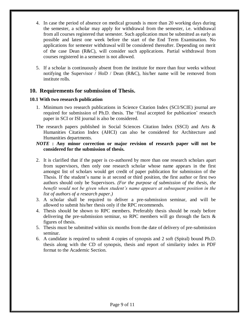- 4. In case the period of absence on medical grounds is more than 20 working days during the semester, a scholar may apply for withdrawal from the semester, i.e. withdrawal from all courses registered that semester. Such application must be submitted as early as possible and latest one week before the start of the End Term Examination. No applications for semester withdrawal will be considered thereafter. Depending on merit of the case Dean (R&C), will consider such applications. Partial withdrawal from courses registered in a semester is not allowed.
- 5. If a scholar is continuously absent from the institute for more than four weeks without notifying the Supervisor / HoD / Dean (R&C), his/her name will be removed from institute rolls.

## **10. Requirements for submission of Thesis.**

#### **10.1 With two research publication**

- 1. Minimum two research publications in Science Citation Index (SCI/SCIE) journal are required for submission of Ph.D. thesis. The 'final accepted for publication' research paper in SCI or ISI journal is also be considered.
- The research papers published in Social Sciences Citation Index (SSCI) and Arts & Humanities Citation Index (AHCI) can also be considered for Architecture and Humanities departments.

#### *NOTE* **: Any minor correction or major revision of research paper will not be considered for the submission of thesis.**

- 2. It is clarified that if the paper is co-authored by more than one research scholars apart from supervisors, then only one research scholar whose name appears in the first amongst list of scholars would get credit of paper publication for submission of the Thesis. If the student's name is at second or third position, the first author or first two authors should only be Supervisors. *(For the purpose of submission of the thesis, the benefit would not be given when student's name appears at subsequent position in the list of authors of a research paper.)*
- 3. A scholar shall be required to deliver a pre-submission seminar, and will be allowed to submit his/her thesis only if the RPC recommends.
- 4. Thesis should be shown to RPC members. Preferably thesis should be ready before delivering the pre-submission seminar, so RPC members will go through the facts & figures of thesis.
- 5. Thesis must be submitted within six months from the date of delivery of pre-submission seminar.
- 6. A candidate is required to submit 4 copies of synopsis and 2 soft (Spiral) bound Ph.D. thesis along with the CD of synopsis, thesis and report of similarity index in PDF format to the Academic Section.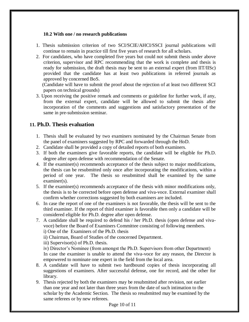#### **10.2 With one / no research publications**

- 1. Thesis submission criterion of two SCI/SCIE/AHCI/SSCI journal publications will continue to remain in practice till first five years of research for all scholars.
- 2. For candidates, who have completed five years but could not submit thesis under above criterion, supervisor and RPC recommending that the work is complete and thesis is ready for submission, the draft thesis may be sent to an external expert (from IIT/IISc) provided that the candidate has at least two publications in referred journals as approved by concerned BoS.

 (Candidate will have to submit the proof about the rejection of at least two different SCI papers on technical grounds)

3. Upon receiving the positive remark and comments or guideline for further work, if any, from the external expert, candidate will be allowed to submit the thesis after incorporation of the comments and suggestions and satisfactory presentation of the same in pre-submission seminar.

## **11. Ph.D. Thesis evaluation**

- 1. Thesis shall be evaluated by two examiners nominated by the Chairman Senate from the panel of examiners suggested by RPC and forwarded through the HoD.
- 2. Candidate shall be provided a copy of detailed reports of both examiners.
- 3. If both the examiners give favorable reports, the candidate will be eligible for Ph.D. degree after open defense with recommendation of the Senate.
- 4. If the examiner(s) recommends acceptance of the thesis subject to major modifications, the thesis can be resubmitted only once after incorporating the modifications, within a period of one year. The thesis so resubmitted shall be examined by the same examiner(s).
- 5. If the examiner(s) recommends acceptance of the thesis with minor modifications only, the thesis is to be corrected before open defense and viva-voce. External examiner shall confirm whether corrections suggested by both examiners are included.
- 6. In case the report of one of the examiners is not favorable, the thesis will be sent to the third examiner. If the report of third examiner is favorable then only a candidate will be considered eligible for Ph.D. degree after open defense.
- 7. A candidate shall be required to defend his / her Ph.D. thesis (open defense and vivavoce) before the Board of Examiners Committee consisting of following members. i) One of the Examiners of the Ph.D. thesis

ii) Chairman, Board of Studies of the concerned Department.

iii) Supervisor(s) of Ph.D. thesis.

iv) Director's Nominee (from amongst the Ph.D. Supervisors from other Department) In case the examiner is unable to attend the viva-voce for any reason, the Director is empowered to nominate one expert in the field from the local area.

- 8. A candidate will have to submit two hardbound copies of thesis incorporating all suggestions of examiners. After successful defense, one for record, and the other for library.
- 9. Thesis rejected by both the examiners may be resubmitted after revision, not earlier than one year and not later than three years from the date of such intimation to the scholar by the Academic Section. The thesis so resubmitted may be examined by the same referees or by new referees.